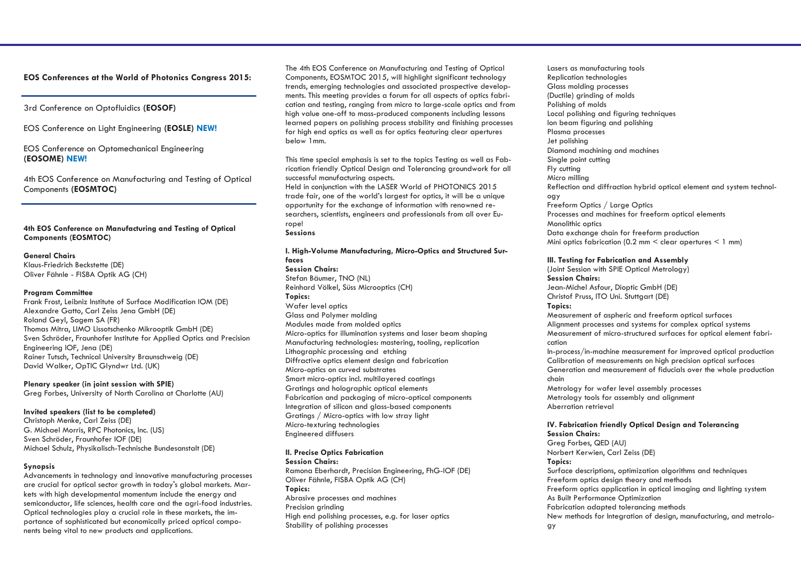## **EOS Conferences at the World of Photonics Congress 2015:**

### 3rd Conference on Optofluidics **(EOSOF)**

EOS Conference on Light Engineering **(EOSLE) NEW!**

### EOS Conference on Optomechanical Engineering **(EOSOME) NEW!**

4th EOS Conference on Manufacturing and Testing of Optical Components **(EOSMTOC)**

### **4th EOS Conference on Manufacturing and Testing of Optical Components (EOSMTOC)**

#### **General Chairs**

Klaus-Friedrich Beckstette (DE) Oliver Fähnle - FISBA Optik AG (CH)

#### **Program Committee**

Frank Frost, Leibniz Institute of Surface Modification IOM (DE) Alexandre Gatto, Carl Zeiss Jena GmbH (DE) Roland Geyl, Sagem SA (FR) Thomas Mitra, LIMO Lissotschenko Mikrooptik GmbH (DE) Sven Schröder, Fraunhofer Institute for Applied Optics and Precision Engineering IOF, Jena (DE) Rainer Tutsch, Technical University Braunschweig (DE) David Walker, OpTIC Glyndwr Ltd. (UK)

**Plenary speaker (in joint session with SPIE)** Greg Forbes, University of North Carolina at Charlotte (AU)

#### **Invited speakers (list to be completed)**

Christoph Menke, Carl Zeiss (DE) G. Michael Morris, RPC Photonics, Inc. (US) Sven Schröder, Fraunhofer IOF (DE) Michael Schulz, Physikalisch-Technische Bundesanstalt (DE)

#### **Synopsis**

Advancements in technology and innovative manufacturing processes are crucial for optical sector growth in today's global markets. Markets with high developmental momentum include the energy and semiconductor, life sciences, health care and the agri-food industries. Optical technologies play a crucial role in these markets, the importance of sophisticated but economically priced optical components being vital to new products and applications.

The 4th EOS Conference on Manufacturing and Testing of Optical Components, EOSMTOC 2015, will highlight significant technology trends, emerging technologies and associated prospective developments. This meeting provides a forum for all aspects of optics fabrication and testing, ranging from micro to large-scale optics and from high value one-off to mass-produced components including lessons learned papers on polishing process stability and finishing processes for high end optics as well as for optics featuring clear apertures below 1mm.

This time special emphasis is set to the topics Testing as well as Fabrication friendly Optical Design and Tolerancing groundwork for all successful manufacturing aspects.

Held in conjunction with the LASER World of PHOTONICS 2015 trade fair, one of the world's largest for optics, it will be a unique opportunity for the exchange of information with renowned researchers, scientists, engineers and professionals from all over Europe!

### **Sessions**

#### **I. High-Volume Manufacturing, Micro-Optics and Structured Surfaces**

**Session Chairs:**  Stefan Bäumer, TNO (NL) Reinhard Völkel, Süss Microoptics (CH) **Topics:**  Wafer level optics Glass and Polymer molding Modules made from molded optics Micro-optics for illumination systems and laser beam shaping Manufacturing technologies: mastering, tooling, replication Lithographic processing and etching Diffractive optics element design and fabrication Micro-optics on curved substrates Smart micro-optics incl. multilayered coatings Gratings and holographic optical elements Fabrication and packaging of micro-optical components Integration of silicon and glass-based components Gratings / Micro-optics with low stray light Micro-texturing technologies Engineered diffusers

# **II. Precise Optics Fabrication**

**Session Chairs:**  Ramona Eberhardt, Precision Engineering, FhG-IOF (DE) Oliver Fähnle, FISBA Optik AG (CH) **Topics:**  Abrasive processes and machines Precision arindina High end polishing processes, e.g. for laser optics Stability of polishing processes

Lasers as manufacturing tools Replication technologies Glass molding processes (Ductile) grinding of molds Polishing of molds Local polishing and figuring techniques Ion beam figuring and polishing Plasma processes Jet polishing Diamond machining and machines Single point cutting Fly cutting Micro milling Reflection and diffraction hybrid optical element and system technology Freeform Optics / Large Optics Processes and machines for freeform optical elements Monolithic optics Data exchange chain for freeform production Mini optics fabrication (0.2 mm  $\leq$  clear apertures  $\leq$  1 mm)

#### **III. Testing for Fabrication and Assembly**

(Joint Session with SPIE Optical Metrology) **Session Chairs:**  Jean-Michel Asfour, Dioptic GmbH (DE) Christof Pruss, ITO Uni. Stuttgart (DE) **Topics:**  Measurement of aspheric and freeform optical surfaces

Alignment processes and systems for complex optical systems Measurement of micro-structured surfaces for optical element fabrication

In-process/in-machine measurement for improved optical production Calibration of measurements on high precision optical surfaces Generation and measurement of fiducials over the whole production chain

Metrology for wafer level assembly processes Metrology tools for assembly and alignment Aberration retrieval

# **IV. Fabrication friendly Optical Design and Tolerancing**

**Session Chairs:**  Greg Forbes, QED (AU) Norbert Kerwien, Carl Zeiss (DE) **Topics:**  Surface descriptions, optimization algorithms and techniques Freeform optics design theory and methods Freeform optics application in optical imaging and lighting system As Built Performance Optimization Fabrication adapted tolerancing methods New methods for Integration of design, manufacturing, and metrology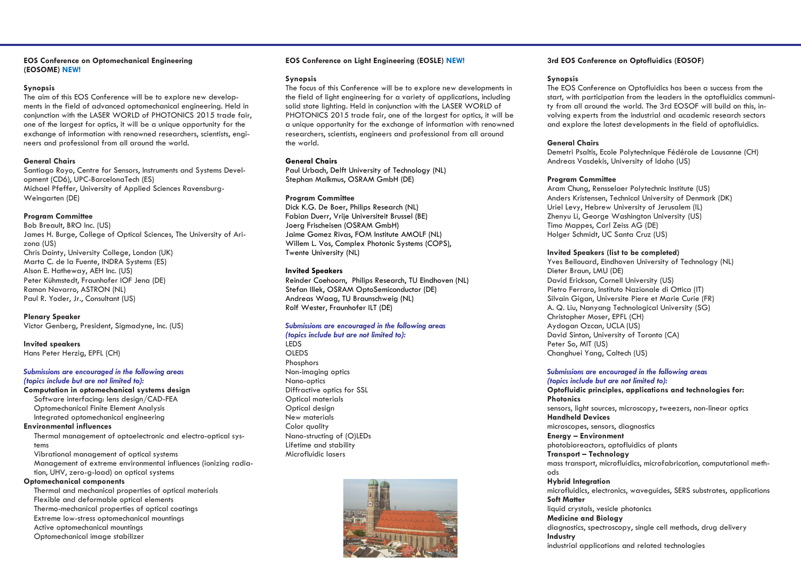#### **EOS Conference on Optomechanical Engineering (EOSOME) NEW!**

#### **Synopsis**

The aim of this EOS Conference will be to explore new developments in the field of advanced optomechanical engineering. Held in conjunction with the LASER WORLD of PHOTONICS 2015 trade fair, one of the largest for optics, it will be a unique opportunity for the exchange of information with renowned researchers, scientists, engineers and professional from all around the world.

### **General Chairs**

Santiago Royo, Centre for Sensors, Instruments and Systems Development (CD6), UPC-BarcelonaTech (ES) Michael Pfeffer, University of Applied Sciences Ravensburg-Weingarten (DE)

### **Program Committee**

Bob Breault, BRO Inc. (US) James H. Burge, College of Optical Sciences, The University of Arizona (US) Chris Dainty, University College, London (UK) Marta C. de la Fuente, INDRA Systems (ES) Alson E. Hatheway, AEH Inc. (US) Peter Kühmstedt, Fraunhofer IOF Jena (DE) Ramon Navarro, ASTRON (NL) Paul R. Yoder, Jr., Consultant (US)

### **Plenary Speaker**

Victor Genberg, President, Sigmadyne, Inc. (US)

#### **Invited speakers** Hans Peter Herzig, EPFL (CH)

*Submissions are encouraged in the following areas (topics include but are not limited to):*

#### **Computation in optomechanical systems design** Software interfacing: lens design/CAD-FEA Optomechanical Finite Element Analysis Integrated optomechanical engineering

#### **Environmental influences**

Thermal management of optoelectronic and electro-optical systems

Vibrational management of optical systems Management of extreme environmental influences (ionizing radiation, UHV, zero-g-load) on optical systems

### **Optomechanical components**

Thermal and mechanical properties of optical materials Flexible and deformable optical elements Thermo-mechanical properties of optical coatings Extreme low-stress optomechanical mountings Active optomechanical mountings Optomechanical image stabilizer

### **EOS Conference on Light Engineering (EOSLE) NEW!**

#### **Synopsis**

The focus of this Conference will be to explore new developments in the field of light engineering for a variety of applications, including solid state lighting. Held in conjunction with the LASER WORLD of PHOTONICS 2015 trade fair, one of the largest for optics, it will be a unique opportunity for the exchange of information with renowned researchers, scientists, engineers and professional from all around the world.

### **General Chairs**

Paul Urbach, Delft University of Technology (NL) Stephan Malkmus, OSRAM GmbH (DE)

#### **Program Committee**

Dick K.G. De Boer, Philips Research (NL) Fabian Duerr, Vrije Universiteit Brussel (BE) Joerg Frischeisen (OSRAM GmbH) Jaime Gomez Rivas, FOM Institute AMOLF (NL) Willem L. Vos, Complex Photonic Systems (COPS), Twente University (NL)

### **Invited Speakers**

Reinder Coehoorn, Philips Research, TU Eindhoven (NL) Stefan Illek, OSRAM OptoSemiconductor (DE) Andreas Waag, TU Braunschweig (NL) Rolf Wester, Fraunhofer ILT (DE)

#### *Submissions are encouraged in the following areas (topics include but are not limited to):*

LEDS OLEDS **Phosphors** Non-imaging optics Nano-optics Diffractive optics for SSL Optical materials Optical design New materials Color quality Nano-structing of (O)LEDs Lifetime and stability Microfluidic lasers



### **3rd EOS Conference on Optofluidics (EOSOF)**

### **Synopsis**

The EOS Conference on Optofluidics has been a success from the start, with participation from the leaders in the optofluidics community from all around the world. The 3rd EOSOF will build on this, involving experts from the industrial and academic research sectors and explore the latest developments in the field of optofluidics.

### **General Chairs**

Demetri Psaltis, Ecole Polytechnique Fédérale de Lausanne (CH) Andreas Vasdekis, University of Idaho (US)

### **Program Committee**

Aram Chung, Rensselaer Polytechnic Institute (US) Anders Kristensen, Technical University of Denmark (DK) Uriel Levy, Hebrew University of Jerusalem (IL) Zhenyu Li, George Washington University (US) Timo Mappes, Carl Zeiss AG (DE) Holger Schmidt, UC Santa Cruz (US)

#### **Invited Speakers (list to be completed)**

Yves Bellouard, Eindhoven University of Technology (NL) Dieter Braun, LMU (DE) David Erickson, Cornell University (US) Pietro Ferraro, Instituto Nazionale di Ottica (IT) Silvain Gigan, Universite Piere et Marie Curie (FR) A. Q. Liu, Nanyang Technological University (SG) Christopher Moser, EPFL (CH) Aydogan Ozcan, UCLA (US) David Sinton, University of Toronto (CA) Peter So, MIT (US) Changhuei Yang, Caltech (US)

#### *Submissions are encouraged in the following areas (topics include but are not limited to):*

**Optofluidic principles, applications and technologies for: Photonics** sensors, light sources, microscopy, tweezers, non-linear optics **Handheld Devices**

microscopes, sensors, diagnostics

**Energy – Environment**

#### photobioreactors, optofluidics of plants **Transport – Technology**

mass transport, microfluidics, microfabrication, computational methods

#### **Hybrid Integration**

microfluidics, electronics, waveguides, SERS substrates, applications **Soft Matter** liquid crystals, vesicle photonics **Medicine and Biology** diagnostics, spectroscopy, single cell methods, drug delivery **Industry** industrial applications and related technologies